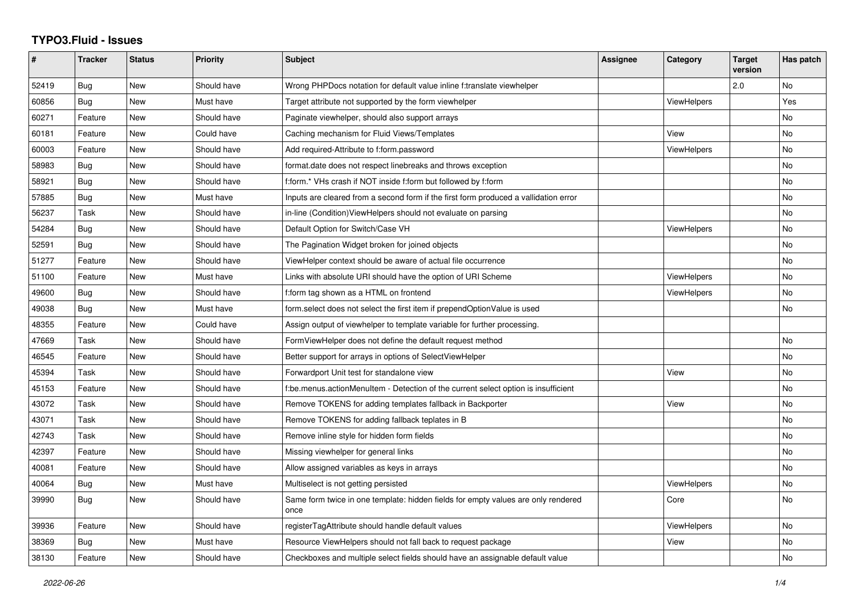## **TYPO3.Fluid - Issues**

| #     | <b>Tracker</b> | <b>Status</b> | <b>Priority</b> | Subject                                                                                   | <b>Assignee</b> | Category           | <b>Target</b><br>version | Has patch |
|-------|----------------|---------------|-----------------|-------------------------------------------------------------------------------------------|-----------------|--------------------|--------------------------|-----------|
| 52419 | Bug            | <b>New</b>    | Should have     | Wrong PHPDocs notation for default value inline f:translate viewhelper                    |                 |                    | 2.0                      | <b>No</b> |
| 60856 | Bug            | <b>New</b>    | Must have       | Target attribute not supported by the form viewhelper                                     |                 | ViewHelpers        |                          | Yes       |
| 60271 | Feature        | New           | Should have     | Paginate viewhelper, should also support arrays                                           |                 |                    |                          | No        |
| 60181 | Feature        | New           | Could have      | Caching mechanism for Fluid Views/Templates                                               |                 | View               |                          | No        |
| 60003 | Feature        | <b>New</b>    | Should have     | Add required-Attribute to f:form.password                                                 |                 | <b>ViewHelpers</b> |                          | <b>No</b> |
| 58983 | Bug            | New           | Should have     | format.date does not respect linebreaks and throws exception                              |                 |                    |                          | No        |
| 58921 | Bug            | <b>New</b>    | Should have     | f:form.* VHs crash if NOT inside f:form but followed by f:form                            |                 |                    |                          | No        |
| 57885 | Bug            | <b>New</b>    | Must have       | Inputs are cleared from a second form if the first form produced a vallidation error      |                 |                    |                          | No        |
| 56237 | Task           | New           | Should have     | in-line (Condition) View Helpers should not evaluate on parsing                           |                 |                    |                          | No        |
| 54284 | Bug            | New           | Should have     | Default Option for Switch/Case VH                                                         |                 | ViewHelpers        |                          | No        |
| 52591 | <b>Bug</b>     | <b>New</b>    | Should have     | The Pagination Widget broken for joined objects                                           |                 |                    |                          | <b>No</b> |
| 51277 | Feature        | New           | Should have     | ViewHelper context should be aware of actual file occurrence                              |                 |                    |                          | No        |
| 51100 | Feature        | New           | Must have       | Links with absolute URI should have the option of URI Scheme                              |                 | <b>ViewHelpers</b> |                          | No        |
| 49600 | Bug            | <b>New</b>    | Should have     | f:form tag shown as a HTML on frontend                                                    |                 | <b>ViewHelpers</b> |                          | <b>No</b> |
| 49038 | Bug            | New           | Must have       | form select does not select the first item if prependOptionValue is used                  |                 |                    |                          | No        |
| 48355 | Feature        | New           | Could have      | Assign output of viewhelper to template variable for further processing.                  |                 |                    |                          |           |
| 47669 | Task           | New           | Should have     | FormViewHelper does not define the default request method                                 |                 |                    |                          | <b>No</b> |
| 46545 | Feature        | New           | Should have     | Better support for arrays in options of SelectViewHelper                                  |                 |                    |                          | No        |
| 45394 | Task           | New           | Should have     | Forwardport Unit test for standalone view                                                 |                 | View               |                          | No        |
| 45153 | Feature        | <b>New</b>    | Should have     | f:be.menus.actionMenuItem - Detection of the current select option is insufficient        |                 |                    |                          | <b>No</b> |
| 43072 | Task           | New           | Should have     | Remove TOKENS for adding templates fallback in Backporter                                 |                 | View               |                          | No        |
| 43071 | Task           | New           | Should have     | Remove TOKENS for adding fallback teplates in B                                           |                 |                    |                          | <b>No</b> |
| 42743 | Task           | New           | Should have     | Remove inline style for hidden form fields                                                |                 |                    |                          | No        |
| 42397 | Feature        | <b>New</b>    | Should have     | Missing viewhelper for general links                                                      |                 |                    |                          | <b>No</b> |
| 40081 | Feature        | New           | Should have     | Allow assigned variables as keys in arrays                                                |                 |                    |                          | No        |
| 40064 | Bug            | New           | Must have       | Multiselect is not getting persisted                                                      |                 | ViewHelpers        |                          | <b>No</b> |
| 39990 | Bug            | New           | Should have     | Same form twice in one template: hidden fields for empty values are only rendered<br>once |                 | Core               |                          | No        |
| 39936 | Feature        | <b>New</b>    | Should have     | registerTagAttribute should handle default values                                         |                 | ViewHelpers        |                          | <b>No</b> |
| 38369 | Bug            | New           | Must have       | Resource ViewHelpers should not fall back to request package                              |                 | View               |                          | No        |
| 38130 | Feature        | New           | Should have     | Checkboxes and multiple select fields should have an assignable default value             |                 |                    |                          | No        |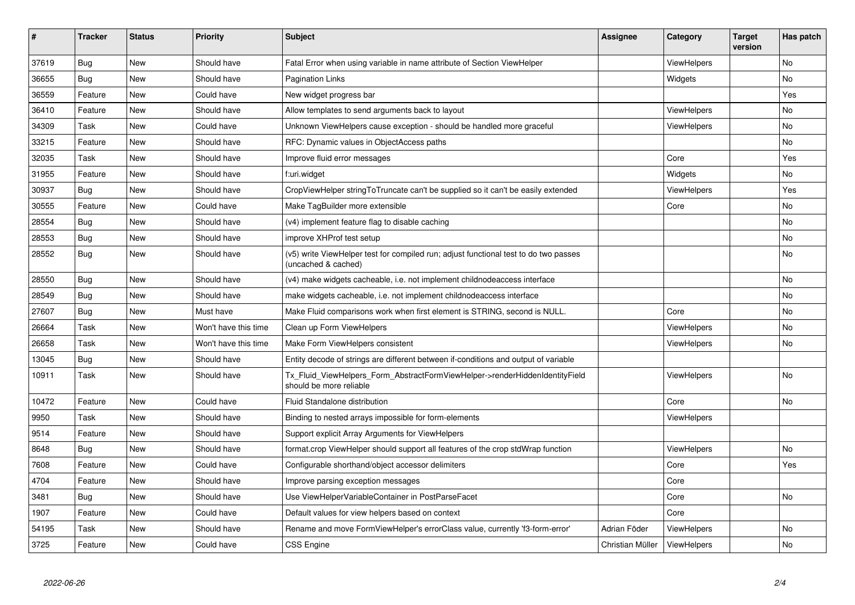| #     | <b>Tracker</b> | <b>Status</b> | <b>Priority</b>      | <b>Subject</b>                                                                                              | <b>Assignee</b>  | Category           | Target<br>version | Has patch |
|-------|----------------|---------------|----------------------|-------------------------------------------------------------------------------------------------------------|------------------|--------------------|-------------------|-----------|
| 37619 | Bug            | New           | Should have          | Fatal Error when using variable in name attribute of Section ViewHelper                                     |                  | ViewHelpers        |                   | <b>No</b> |
| 36655 | Bug            | New           | Should have          | <b>Pagination Links</b>                                                                                     |                  | Widgets            |                   | No.       |
| 36559 | Feature        | New           | Could have           | New widget progress bar                                                                                     |                  |                    |                   | Yes       |
| 36410 | Feature        | New           | Should have          | Allow templates to send arguments back to layout                                                            |                  | <b>ViewHelpers</b> |                   | No        |
| 34309 | Task           | New           | Could have           | Unknown ViewHelpers cause exception - should be handled more graceful                                       |                  | <b>ViewHelpers</b> |                   | No        |
| 33215 | Feature        | New           | Should have          | RFC: Dynamic values in ObjectAccess paths                                                                   |                  |                    |                   | No        |
| 32035 | Task           | New           | Should have          | Improve fluid error messages                                                                                |                  | Core               |                   | Yes       |
| 31955 | Feature        | <b>New</b>    | Should have          | f:uri.widget                                                                                                |                  | Widgets            |                   | No        |
| 30937 | Bug            | New           | Should have          | CropViewHelper stringToTruncate can't be supplied so it can't be easily extended                            |                  | <b>ViewHelpers</b> |                   | Yes       |
| 30555 | Feature        | New           | Could have           | Make TagBuilder more extensible                                                                             |                  | Core               |                   | No        |
| 28554 | Bug            | New           | Should have          | (v4) implement feature flag to disable caching                                                              |                  |                    |                   | No        |
| 28553 | <b>Bug</b>     | New           | Should have          | improve XHProf test setup                                                                                   |                  |                    |                   | No        |
| 28552 | Bug            | New           | Should have          | (v5) write ViewHelper test for compiled run; adjust functional test to do two passes<br>(uncached & cached) |                  |                    |                   | No        |
| 28550 | Bug            | New           | Should have          | (v4) make widgets cacheable, i.e. not implement childnodeaccess interface                                   |                  |                    |                   | <b>No</b> |
| 28549 | <b>Bug</b>     | New           | Should have          | make widgets cacheable, i.e. not implement childnodeaccess interface                                        |                  |                    |                   | No.       |
| 27607 | Bug            | New           | Must have            | Make Fluid comparisons work when first element is STRING, second is NULL.                                   |                  | Core               |                   | No        |
| 26664 | Task           | New           | Won't have this time | Clean up Form ViewHelpers                                                                                   |                  | <b>ViewHelpers</b> |                   | No        |
| 26658 | Task           | New           | Won't have this time | Make Form ViewHelpers consistent                                                                            |                  | <b>ViewHelpers</b> |                   | <b>No</b> |
| 13045 | Bug            | New           | Should have          | Entity decode of strings are different between if-conditions and output of variable                         |                  |                    |                   |           |
| 10911 | Task           | New           | Should have          | Tx_Fluid_ViewHelpers_Form_AbstractFormViewHelper->renderHiddenIdentityField<br>should be more reliable      |                  | <b>ViewHelpers</b> |                   | No        |
| 10472 | Feature        | New           | Could have           | Fluid Standalone distribution                                                                               |                  | Core               |                   | No        |
| 9950  | Task           | New           | Should have          | Binding to nested arrays impossible for form-elements                                                       |                  | ViewHelpers        |                   |           |
| 9514  | Feature        | New           | Should have          | Support explicit Array Arguments for ViewHelpers                                                            |                  |                    |                   |           |
| 8648  | Bug            | New           | Should have          | format.crop ViewHelper should support all features of the crop stdWrap function                             |                  | <b>ViewHelpers</b> |                   | No        |
| 7608  | Feature        | <b>New</b>    | Could have           | Configurable shorthand/object accessor delimiters                                                           |                  | Core               |                   | Yes       |
| 4704  | Feature        | New           | Should have          | Improve parsing exception messages                                                                          |                  | Core               |                   |           |
| 3481  | Bug            | <b>New</b>    | Should have          | Use ViewHelperVariableContainer in PostParseFacet                                                           |                  | Core               |                   | <b>No</b> |
| 1907  | Feature        | New           | Could have           | Default values for view helpers based on context                                                            |                  | Core               |                   |           |
| 54195 | Task           | New           | Should have          | Rename and move FormViewHelper's errorClass value, currently 'f3-form-error'                                | Adrian Föder     | <b>ViewHelpers</b> |                   | <b>No</b> |
| 3725  | Feature        | New           | Could have           | <b>CSS Engine</b>                                                                                           | Christian Müller | ViewHelpers        |                   | No        |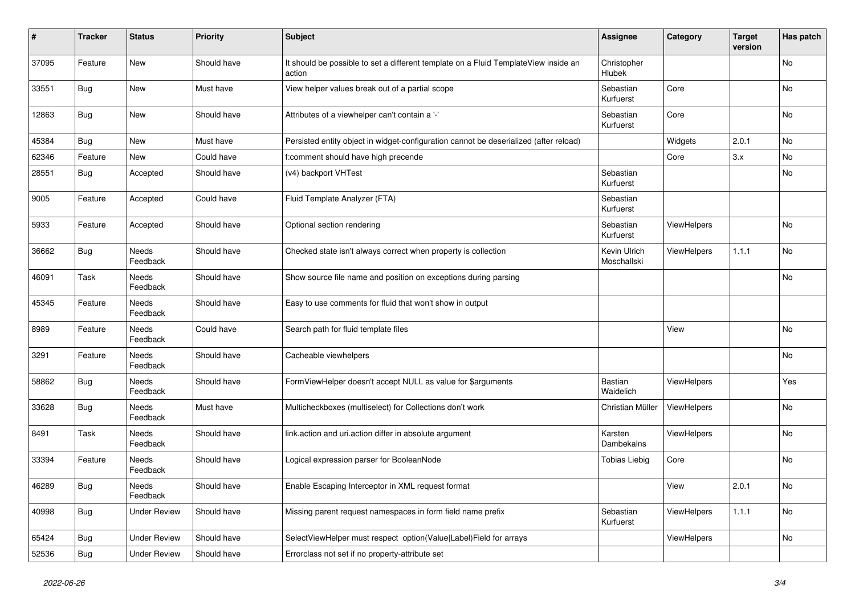| #     | <b>Tracker</b> | <b>Status</b>            | <b>Priority</b> | <b>Subject</b>                                                                                | <b>Assignee</b>             | Category    | <b>Target</b><br>version | Has patch |
|-------|----------------|--------------------------|-----------------|-----------------------------------------------------------------------------------------------|-----------------------------|-------------|--------------------------|-----------|
| 37095 | Feature        | New                      | Should have     | It should be possible to set a different template on a Fluid TemplateView inside an<br>action | Christopher<br>Hlubek       |             |                          | No        |
| 33551 | Bug            | New                      | Must have       | View helper values break out of a partial scope                                               | Sebastian<br>Kurfuerst      | Core        |                          | No        |
| 12863 | <b>Bug</b>     | New                      | Should have     | Attributes of a viewhelper can't contain a '-'                                                | Sebastian<br>Kurfuerst      | Core        |                          | No        |
| 45384 | Bug            | New                      | Must have       | Persisted entity object in widget-configuration cannot be deserialized (after reload)         |                             | Widgets     | 2.0.1                    | <b>No</b> |
| 62346 | Feature        | New                      | Could have      | f:comment should have high precende                                                           |                             | Core        | 3.x                      | No        |
| 28551 | Bug            | Accepted                 | Should have     | (v4) backport VHTest                                                                          | Sebastian<br>Kurfuerst      |             |                          | No        |
| 9005  | Feature        | Accepted                 | Could have      | Fluid Template Analyzer (FTA)                                                                 | Sebastian<br>Kurfuerst      |             |                          |           |
| 5933  | Feature        | Accepted                 | Should have     | Optional section rendering                                                                    | Sebastian<br>Kurfuerst      | ViewHelpers |                          | No        |
| 36662 | <b>Bug</b>     | Needs<br>Feedback        | Should have     | Checked state isn't always correct when property is collection                                | Kevin Ulrich<br>Moschallski | ViewHelpers | 1.1.1                    | No        |
| 46091 | Task           | Needs<br>Feedback        | Should have     | Show source file name and position on exceptions during parsing                               |                             |             |                          | <b>No</b> |
| 45345 | Feature        | Needs<br>Feedback        | Should have     | Easy to use comments for fluid that won't show in output                                      |                             |             |                          |           |
| 8989  | Feature        | Needs<br>Feedback        | Could have      | Search path for fluid template files                                                          |                             | View        |                          | No        |
| 3291  | Feature        | <b>Needs</b><br>Feedback | Should have     | Cacheable viewhelpers                                                                         |                             |             |                          | No        |
| 58862 | <b>Bug</b>     | Needs<br>Feedback        | Should have     | FormViewHelper doesn't accept NULL as value for \$arguments                                   | Bastian<br>Waidelich        | ViewHelpers |                          | Yes       |
| 33628 | <b>Bug</b>     | Needs<br>Feedback        | Must have       | Multicheckboxes (multiselect) for Collections don't work                                      | Christian Müller            | ViewHelpers |                          | No        |
| 8491  | Task           | Needs<br>Feedback        | Should have     | link.action and uri.action differ in absolute argument                                        | Karsten<br>Dambekalns       | ViewHelpers |                          | <b>No</b> |
| 33394 | Feature        | Needs<br>Feedback        | Should have     | Logical expression parser for BooleanNode                                                     | <b>Tobias Liebig</b>        | Core        |                          | No        |
| 46289 | <b>Bug</b>     | Needs<br>Feedback        | Should have     | Enable Escaping Interceptor in XML request format                                             |                             | View        | 2.0.1                    | No        |
| 40998 | <b>Bug</b>     | <b>Under Review</b>      | Should have     | Missing parent request namespaces in form field name prefix                                   | Sebastian<br>Kurfuerst      | ViewHelpers | 1.1.1                    | No        |
| 65424 | Bug            | <b>Under Review</b>      | Should have     | SelectViewHelper must respect option(Value Label)Field for arrays                             |                             | ViewHelpers |                          | No        |
| 52536 | Bug            | <b>Under Review</b>      | Should have     | Errorclass not set if no property-attribute set                                               |                             |             |                          |           |